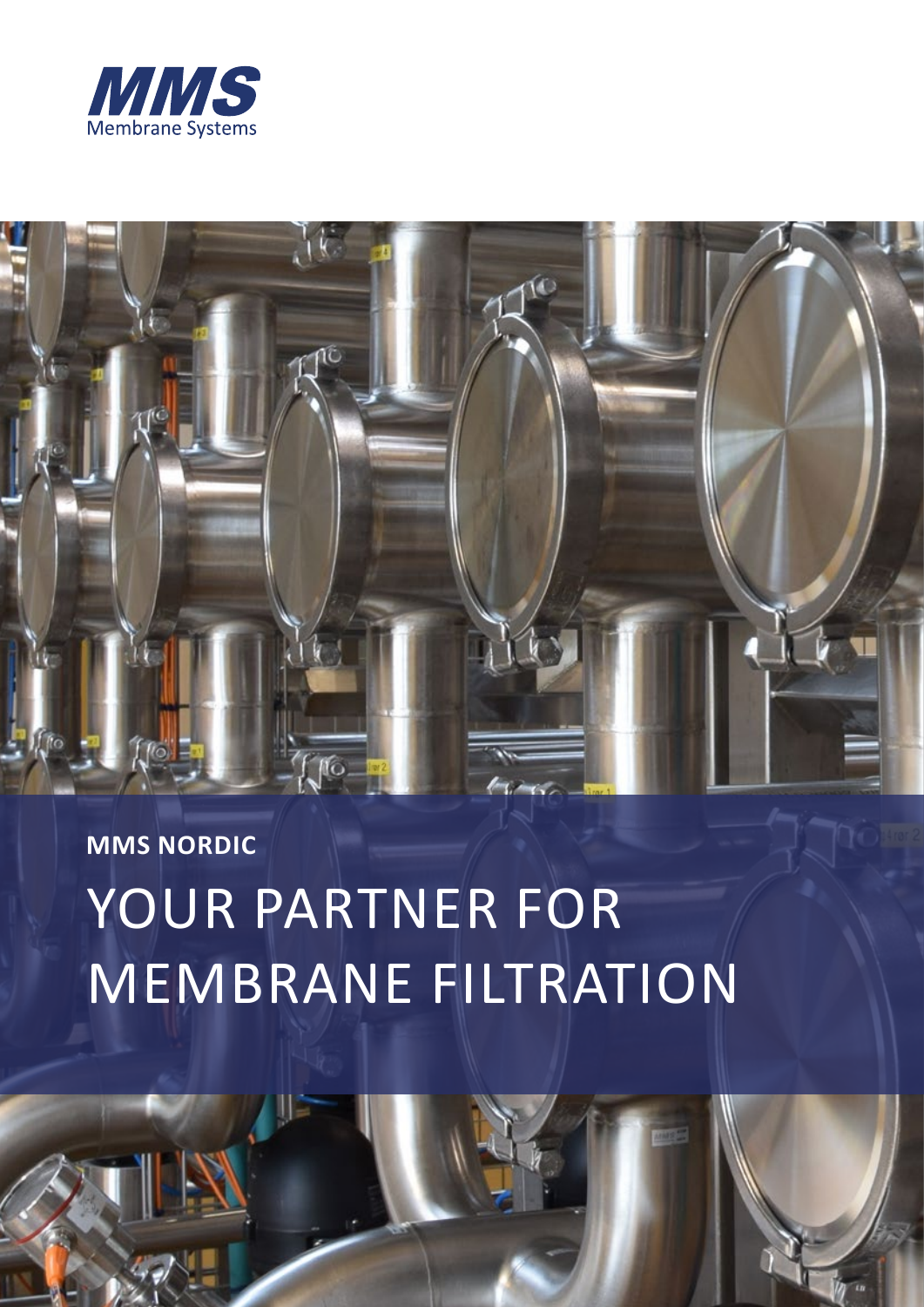



**MMS NORDIC**

# YOUR PARTNER FOR MEMBRANE FILTRATION

**www.mmsx.com**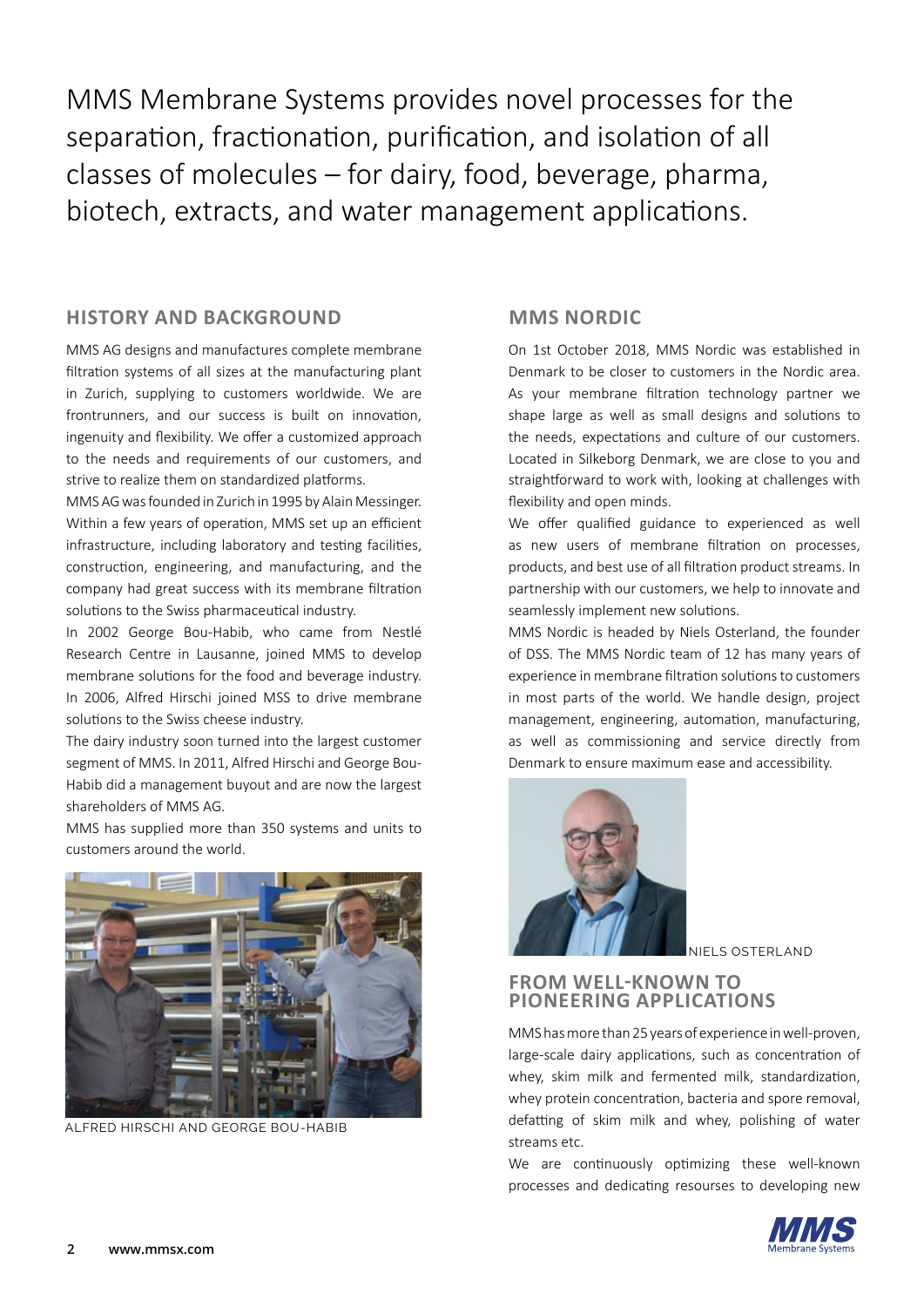MMS Membrane Systems provides novel processes for the separation, fractionation, purification, and isolation of all classes of molecules – for dairy, food, beverage, pharma, biotech, extracts, and water management applications.

#### **HISTORY AND BACKGROUND**

MMS AG designs and manufactures complete membrane filtration systems of all sizes at the manufacturing plant in Zurich, supplying to customers worldwide. We are frontrunners, and our success is built on innovation, ingenuity and flexibility. We offer a customized approach to the needs and requirements of our customers, and strive to realize them on standardized platforms.

MMS AG was founded in Zurich in 1995 by Alain Messinger. Within a few years of operation, MMS set up an efficient infrastructure, including laboratory and testing facilities, construction, engineering, and manufacturing, and the company had great success with its membrane filtration solutions to the Swiss pharmaceutical industry.

In 2002 George Bou-Habib, who came from Nestlé Research Centre in Lausanne, joined MMS to develop membrane solutions for the food and beverage industry. In 2006, Alfred Hirschi joined MSS to drive membrane solutions to the Swiss cheese industry.

The dairy industry soon turned into the largest customer segment of MMS. In 2011, Alfred Hirschi and George Bou-Habib did a management buyout and are now the largest shareholders of MMS AG.

MMS has supplied more than 350 systems and units to customers around the world.



ALFRED HIRSCHI AND GEORGE BOU-HABIB

#### **MMS NORDIC**

On 1st October 2018, MMS Nordic was established in Denmark to be closer to customers in the Nordic area. As your membrane filtration technology partner we shape large as well as small designs and solutions to the needs, expectations and culture of our customers. Located in Silkeborg Denmark, we are close to you and straightforward to work with, looking at challenges with flexibility and open minds.

We offer qualified guidance to experienced as well as new users of membrane filtration on processes, products, and best use of all filtration product streams. In partnership with our customers, we help to innovate and seamlessly implement new solutions.

MMS Nordic is headed by Niels Osterland, the founder of DSS. The MMS Nordic team of 12 has many years of experience in membrane filtration solutions to customers in most parts of the world. We handle design, project management, engineering, automation, manufacturing, as well as commissioning and service directly from Denmark to ensure maximum ease and accessibility.



NIELS OSTERLAND

#### **FROM WELL-KNOWN TO PIONEERING APPLICATIONS**

MMS has more than 25 years of experience in well-proven, large-scale dairy applications, such as concentration of whey, skim milk and fermented milk, standardization, whey protein concentration, bacteria and spore removal, defatting of skim milk and whey, polishing of water streams etc.

We are continuously optimizing these well-known processes and dedicating resourses to developing new

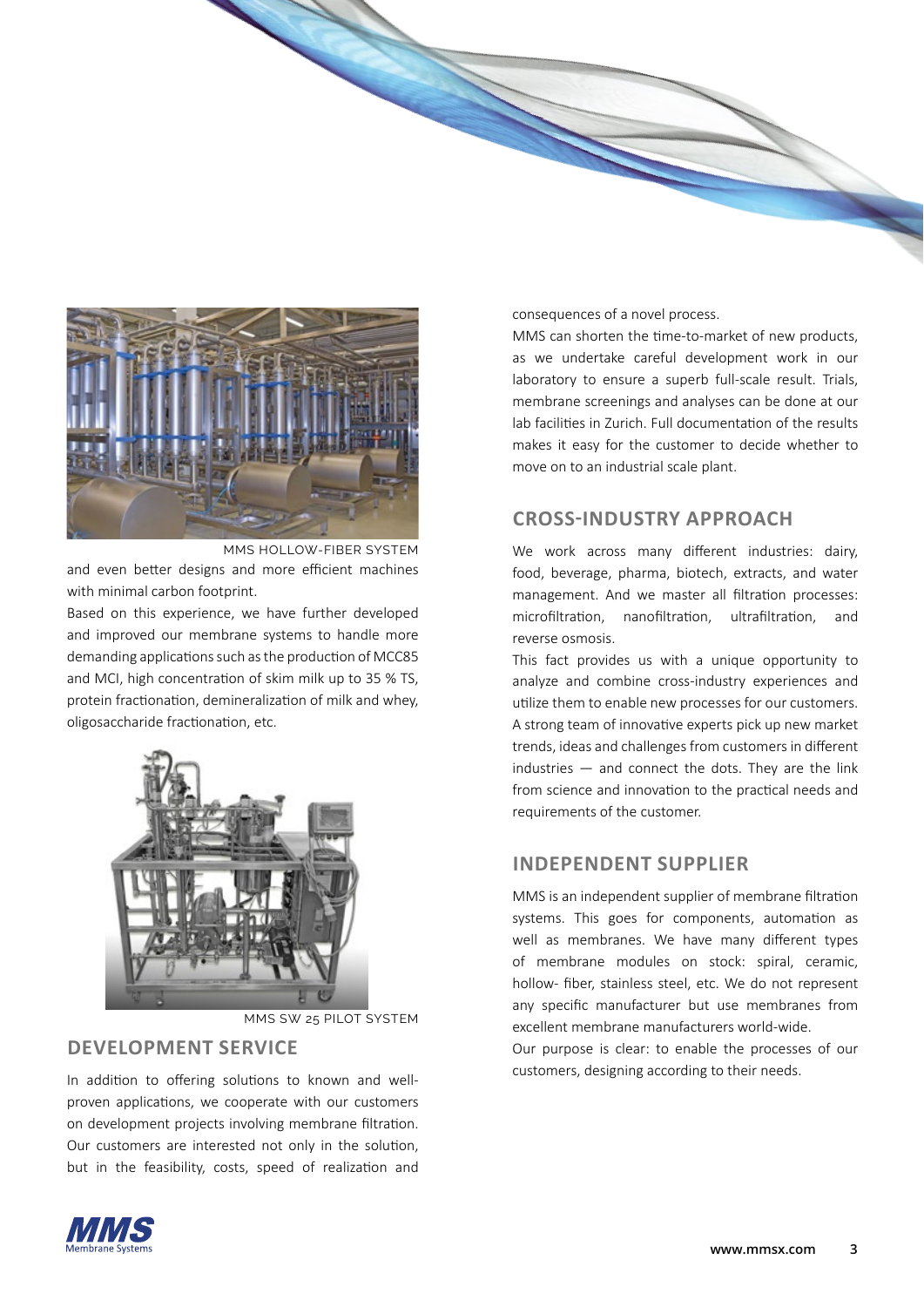

and even better designs and more efficient machines with minimal carbon footprint. MMS HOLLOW-FIBER SYSTEM

Based on this experience, we have further developed and improved our membrane systems to handle more demanding applications such as the production of MCC85 and MCI, high concentration of skim milk up to 35 % TS, protein fractionation, demineralization of milk and whey, oligosaccharide fractionation, etc.



MMS SW 25 PILOT SYSTEM

### **DEVELOPMENT SERVICE**

In addition to offering solutions to known and wellproven applications, we cooperate with our customers on development projects involving membrane filtration. Our customers are interested not only in the solution, but in the feasibility, costs, speed of realization and

consequences of a novel process.

MMS can shorten the time-to-market of new products, as we undertake careful development work in our laboratory to ensure a superb full-scale result. Trials, membrane screenings and analyses can be done at our lab facilities in Zurich. Full documentation of the results makes it easy for the customer to decide whether to move on to an industrial scale plant.

### **CROSS-INDUSTRY APPROACH**

We work across many different industries: dairy, food, beverage, pharma, biotech, extracts, and water management. And we master all filtration processes: microfiltration, nanofiltration, ultrafiltration, and reverse osmosis.

This fact provides us with a unique opportunity to analyze and combine cross-industry experiences and utilize them to enable new processes for our customers. A strong team of innovative experts pick up new market trends, ideas and challenges from customers in different industries  $-$  and connect the dots. They are the link from science and innovation to the practical needs and requirements of the customer.

### **INDEPENDENT SUPPLIER**

MMS is an independent supplier of membrane filtration systems. This goes for components, automation as well as membranes. We have many different types of membrane modules on stock: spiral, ceramic, hollow- fiber, stainless steel, etc. We do not represent any specific manufacturer but use membranes from excellent membrane manufacturers world-wide.

Our purpose is clear: to enable the processes of our customers, designing according to their needs.